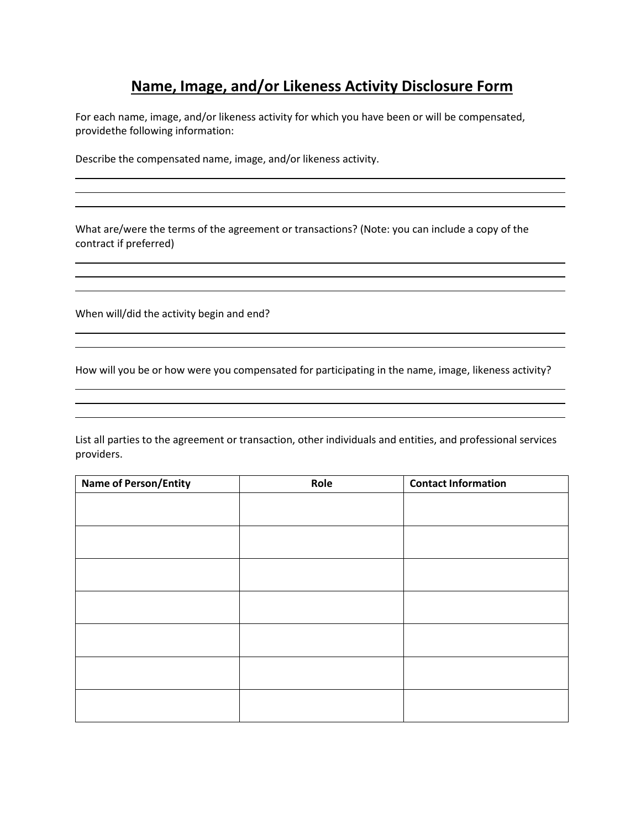## **Name, Image, and/or Likeness Activity Disclosure Form**

For each name, image, and/or likeness activity for which you have been or will be compensated, providethe following information:

Describe the compensated name, image, and/or likeness activity.

What are/were the terms of the agreement or transactions? (Note: you can include a copy of the contract if preferred)

When will/did the activity begin and end?

How will you be or how were you compensated for participating in the name, image, likeness activity?

<u> 1980 - Johann Stoff, deutscher Stoffen und der Stoffen und der Stoffen und der Stoffen und der Stoffen und de</u>

List all parties to the agreement or transaction, other individuals and entities, and professional services providers.

| <b>Name of Person/Entity</b> | Role | <b>Contact Information</b> |
|------------------------------|------|----------------------------|
|                              |      |                            |
|                              |      |                            |
|                              |      |                            |
|                              |      |                            |
|                              |      |                            |
|                              |      |                            |
|                              |      |                            |
|                              |      |                            |